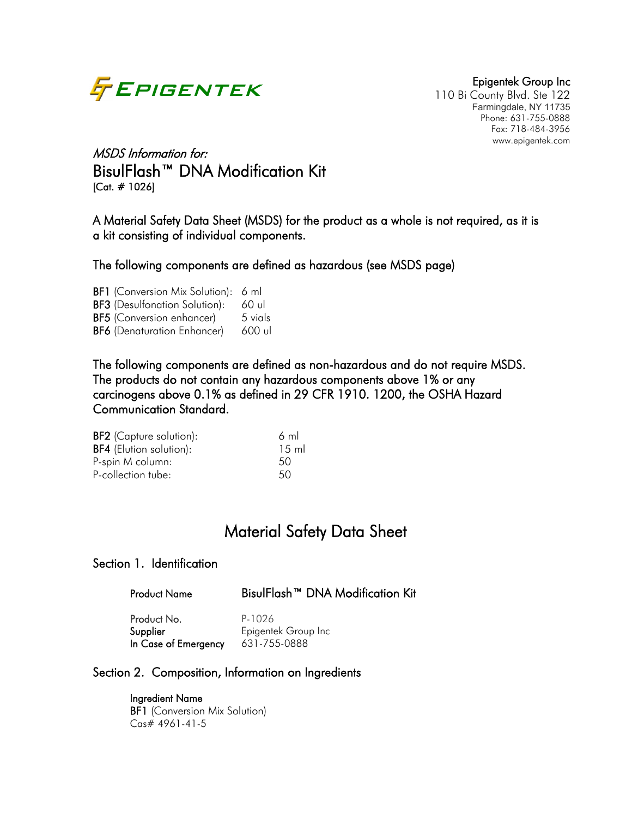

110 Bi County Blvd. Ste 122 Farmingdale, NY 11735 Phone: 631-755-0888 Fax: 718-484-3956 www.epigentek.com

# MSDS Information for: BisulFlash™ DNA Modification Kit [Cat. # 1026]

A Material Safety Data Sheet (MSDS) for the product as a whole is not required, as it is a kit consisting of individual components.

The following components are defined as hazardous (see MSDS page)

BF1 (Conversion Mix Solution): 6 ml BF3 (Desulfonation Solution): 60 ul BF5 (Conversion enhancer) 5 vials BF6 (Denaturation Enhancer) 600 ul

The following components are defined as non-hazardous and do not require MSDS. The products do not contain any hazardous components above 1% or any carcinogens above 0.1% as defined in 29 CFR 1910. 1200, the OSHA Hazard Communication Standard.

| 6 ml            |
|-----------------|
| $15 \text{ ml}$ |
| 50              |
| 50              |
|                 |

# Material Safety Data Sheet

### Section 1. Identification

| <b>Product Name</b> | BisulFlash <sup>™</sup> DNA Modification Kit |  |
|---------------------|----------------------------------------------|--|
|---------------------|----------------------------------------------|--|

Product No. P-1026 Supplier Epigentek Group Inc In Case of Emergency 631-755-0888

### Section 2. Composition, Information on Ingredients

 Ingredient Name **BF1** (Conversion Mix Solution) Cas# 4961-41-5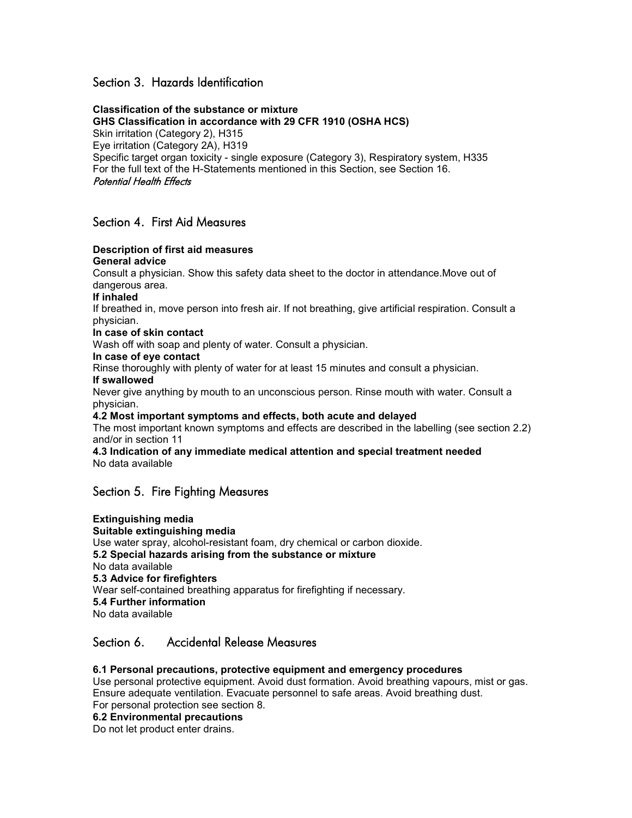### Section 3. Hazards Identification

**Classification of the substance or mixture GHS Classification in accordance with 29 CFR 1910 (OSHA HCS)** Skin irritation (Category 2), H315 Eye irritation (Category 2A), H319 Specific target organ toxicity - single exposure (Category 3), Respiratory system, H335 For the full text of the H-Statements mentioned in this Section, see Section 16. Potential Health Effects

### Section 4. First Aid Measures

#### **Description of first aid measures General advice**

Consult a physician. Show this safety data sheet to the doctor in attendance.Move out of dangerous area.

**If inhaled**

If breathed in, move person into fresh air. If not breathing, give artificial respiration. Consult a physician.

#### **In case of skin contact**

Wash off with soap and plenty of water. Consult a physician.

#### **In case of eye contact**

Rinse thoroughly with plenty of water for at least 15 minutes and consult a physician.

#### **If swallowed**

Never give anything by mouth to an unconscious person. Rinse mouth with water. Consult a physician.

#### **4.2 Most important symptoms and effects, both acute and delayed**

The most important known symptoms and effects are described in the labelling (see section 2.2) and/or in section 11

#### **4.3 Indication of any immediate medical attention and special treatment needed** No data available

### Section 5. Fire Fighting Measures

#### **Extinguishing media Suitable extinguishing media** Use water spray, alcohol-resistant foam, dry chemical or carbon dioxide. **5.2 Special hazards arising from the substance or mixture** No data available **5.3 Advice for firefighters** Wear self-contained breathing apparatus for firefighting if necessary. **5.4 Further information** No data available

### Section 6. Accidental Release Measures

#### **6.1 Personal precautions, protective equipment and emergency procedures**

Use personal protective equipment. Avoid dust formation. Avoid breathing vapours, mist or gas. Ensure adequate ventilation. Evacuate personnel to safe areas. Avoid breathing dust. For personal protection see section 8.

**6.2 Environmental precautions**

Do not let product enter drains.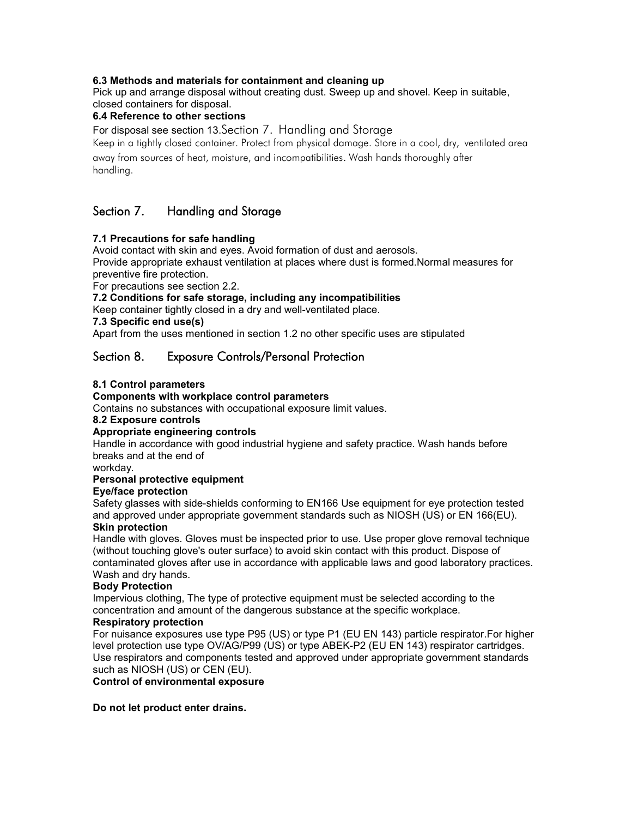#### **6.3 Methods and materials for containment and cleaning up**

Pick up and arrange disposal without creating dust. Sweep up and shovel. Keep in suitable, closed containers for disposal.

#### **6.4 Reference to other sections**

For disposal see section 13.Section 7. Handling and Storage

Keep in a tightly closed container. Protect from physical damage. Store in a cool, dry, ventilated area away from sources of heat, moisture, and incompatibilities. Wash hands thoroughly after handling.

### Section 7. Handling and Storage

#### **7.1 Precautions for safe handling**

Avoid contact with skin and eyes. Avoid formation of dust and aerosols. Provide appropriate exhaust ventilation at places where dust is formed.Normal measures for

preventive fire protection.

For precautions see section 2.2.

#### **7.2 Conditions for safe storage, including any incompatibilities**

Keep container tightly closed in a dry and well-ventilated place.

**7.3 Specific end use(s)**

Apart from the uses mentioned in section 1.2 no other specific uses are stipulated

### Section 8. Exposure Controls/Personal Protection

#### **8.1 Control parameters**

#### **Components with workplace control parameters**

Contains no substances with occupational exposure limit values.

#### **8.2 Exposure controls**

#### **Appropriate engineering controls**

Handle in accordance with good industrial hygiene and safety practice. Wash hands before breaks and at the end of

workday.

#### **Personal protective equipment**

#### **Eye/face protection**

Safety glasses with side-shields conforming to EN166 Use equipment for eye protection tested and approved under appropriate government standards such as NIOSH (US) or EN 166(EU). **Skin protection**

Handle with gloves. Gloves must be inspected prior to use. Use proper glove removal technique (without touching glove's outer surface) to avoid skin contact with this product. Dispose of contaminated gloves after use in accordance with applicable laws and good laboratory practices. Wash and dry hands.

#### **Body Protection**

Impervious clothing, The type of protective equipment must be selected according to the concentration and amount of the dangerous substance at the specific workplace.

#### **Respiratory protection**

For nuisance exposures use type P95 (US) or type P1 (EU EN 143) particle respirator.For higher level protection use type OV/AG/P99 (US) or type ABEK-P2 (EU EN 143) respirator cartridges. Use respirators and components tested and approved under appropriate government standards such as NIOSH (US) or CEN (EU).

**Control of environmental exposure**

**Do not let product enter drains.**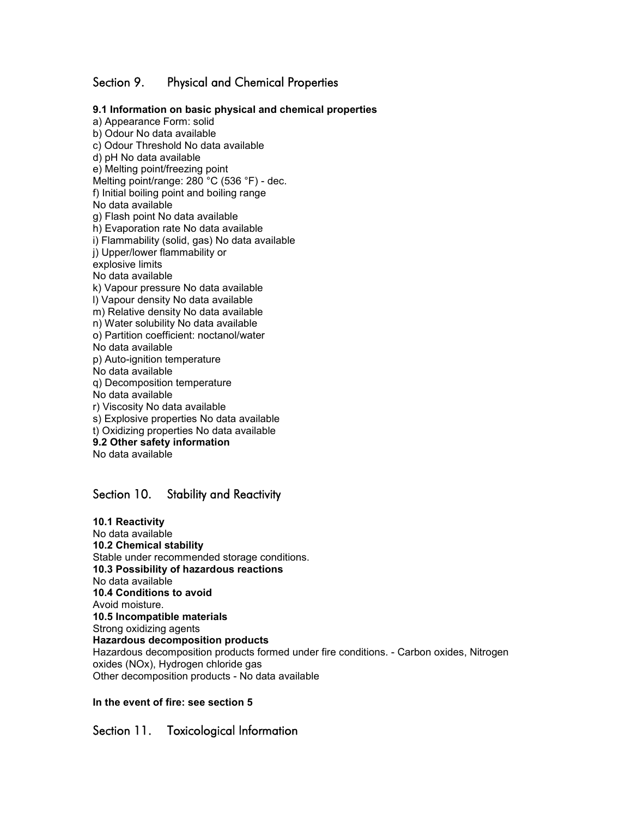### Section 9. Physical and Chemical Properties

**9.1 Information on basic physical and chemical properties** a) Appearance Form: solid b) Odour No data available c) Odour Threshold No data available d) pH No data available e) Melting point/freezing point Melting point/range: 280 °C (536 °F) - dec. f) Initial boiling point and boiling range No data available g) Flash point No data available h) Evaporation rate No data available i) Flammability (solid, gas) No data available j) Upper/lower flammability or explosive limits No data available k) Vapour pressure No data available l) Vapour density No data available m) Relative density No data available n) Water solubility No data available o) Partition coefficient: noctanol/water No data available p) Auto-ignition temperature No data available q) Decomposition temperature No data available r) Viscosity No data available s) Explosive properties No data available t) Oxidizing properties No data available **9.2 Other safety information** No data available

### Section 10. Stability and Reactivity

**10.1 Reactivity** No data available **10.2 Chemical stability** Stable under recommended storage conditions. **10.3 Possibility of hazardous reactions** No data available **10.4 Conditions to avoid** Avoid moisture. **10.5 Incompatible materials** Strong oxidizing agents **Hazardous decomposition products** Hazardous decomposition products formed under fire conditions. - Carbon oxides, Nitrogen oxides (NOx), Hydrogen chloride gas Other decomposition products - No data available

#### **In the event of fire: see section 5**

Section 11. Toxicological Information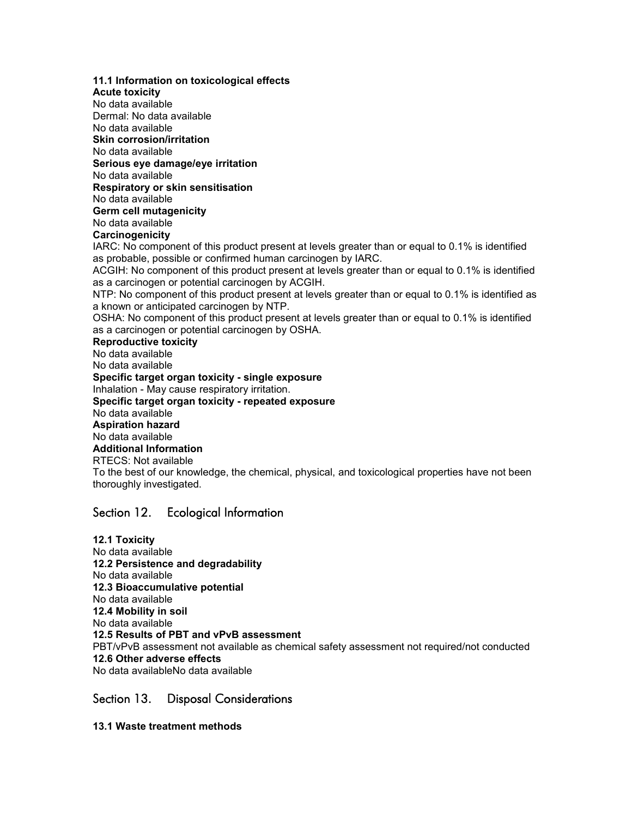**11.1 Information on toxicological effects Acute toxicity** No data available Dermal: No data available No data available **Skin corrosion/irritation** No data available **Serious eye damage/eye irritation** No data available **Respiratory or skin sensitisation** No data available **Germ cell mutagenicity** No data available **Carcinogenicity** IARC: No component of this product present at levels greater than or equal to 0.1% is identified as probable, possible or confirmed human carcinogen by IARC. ACGIH: No component of this product present at levels greater than or equal to 0.1% is identified as a carcinogen or potential carcinogen by ACGIH. NTP: No component of this product present at levels greater than or equal to 0.1% is identified as a known or anticipated carcinogen by NTP. OSHA: No component of this product present at levels greater than or equal to 0.1% is identified as a carcinogen or potential carcinogen by OSHA. **Reproductive toxicity** No data available No data available **Specific target organ toxicity - single exposure** Inhalation - May cause respiratory irritation. **Specific target organ toxicity - repeated exposure** No data available **Aspiration hazard** No data available **Additional Information** RTECS: Not available To the best of our knowledge, the chemical, physical, and toxicological properties have not been thoroughly investigated.

### Section 12. Ecological Information

**12.1 Toxicity** No data available **12.2 Persistence and degradability** No data available **12.3 Bioaccumulative potential** No data available **12.4 Mobility in soil** No data available **12.5 Results of PBT and vPvB assessment** PBT/vPvB assessment not available as chemical safety assessment not required/not conducted **12.6 Other adverse effects** No data availableNo data available

### Section 13. Disposal Considerations

**13.1 Waste treatment methods**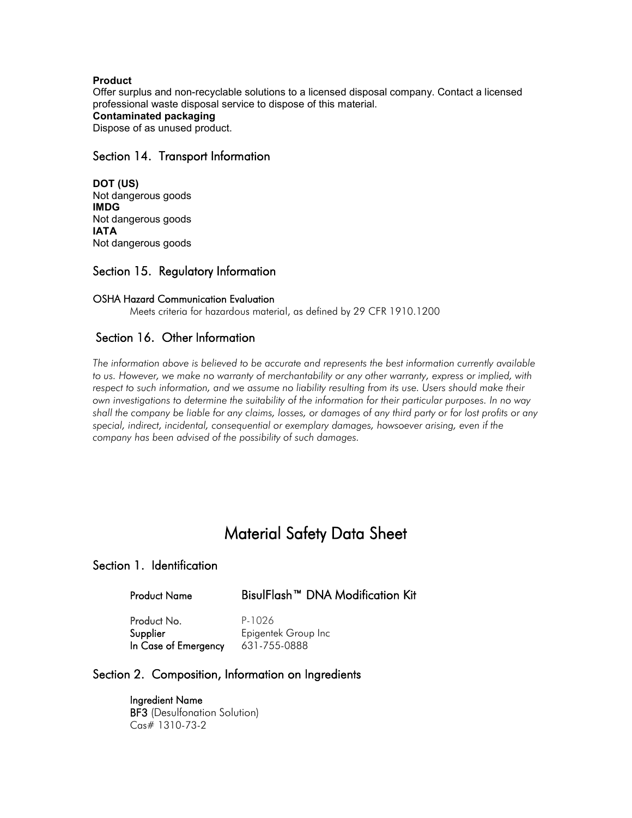#### **Product**

Offer surplus and non-recyclable solutions to a licensed disposal company. Contact a licensed professional waste disposal service to dispose of this material. **Contaminated packaging** Dispose of as unused product.

### Section 14. Transport Information

**DOT (US)** Not dangerous goods **IMDG** Not dangerous goods **IATA** Not dangerous goods

### Section 15. Regulatory Information

#### OSHA Hazard Communication Evaluation

Meets criteria for hazardous material, as defined by 29 CFR 1910.1200

### Section 16. Other Information

*The information above is believed to be accurate and represents the best information currently available to us. However, we make no warranty of merchantability or any other warranty, express or implied, with respect to such information, and we assume no liability resulting from its use. Users should make their own investigations to determine the suitability of the information for their particular purposes. In no way shall the company be liable for any claims, losses, or damages of any third party or for lost profits or any special, indirect, incidental, consequential or exemplary damages, howsoever arising, even if the company has been advised of the possibility of such damages.*

# Material Safety Data Sheet

### Section 1. Identification

### Product Name BisulFlash™ DNA Modification Kit

Product No. P-1026 In Case of Emergency 631-755-0888

Supplier **Epigentek Group Inc** 

### Section 2. Composition, Information on Ingredients

 Ingredient Name BF3 (Desulfonation Solution) Cas# 1310-73-2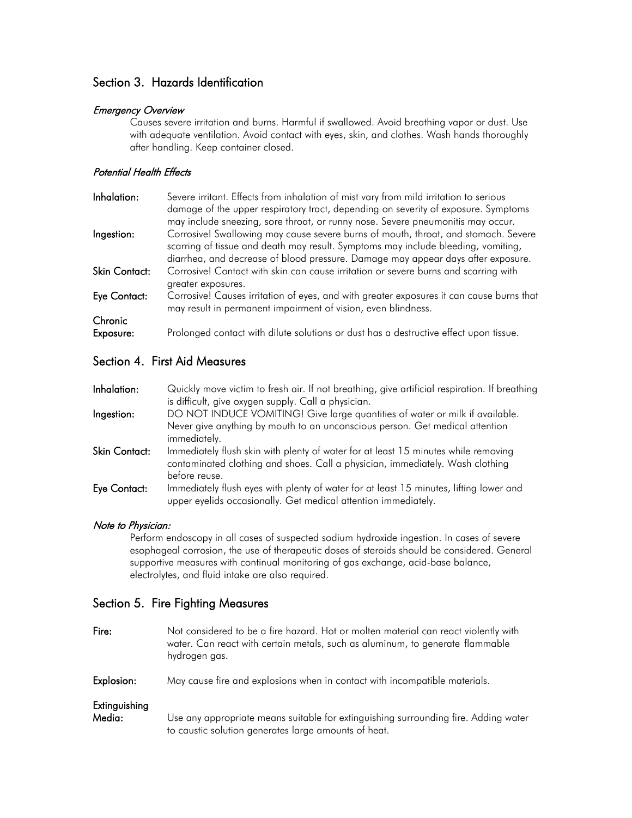### Section 3. Hazards Identification

#### Emergency Overview

Causes severe irritation and burns. Harmful if swallowed. Avoid breathing vapor or dust. Use with adequate ventilation. Avoid contact with eyes, skin, and clothes. Wash hands thoroughly after handling. Keep container closed.

### Potential Health Effects

| Inhalation:          | Severe irritant. Effects from inhalation of mist vary from mild irritation to serious<br>damage of the upper respiratory tract, depending on severity of exposure. Symptoms<br>may include sneezing, sore throat, or runny nose. Severe pneumonitis may occur. |
|----------------------|----------------------------------------------------------------------------------------------------------------------------------------------------------------------------------------------------------------------------------------------------------------|
| Ingestion:           | Corrosive! Swallowing may cause severe burns of mouth, throat, and stomach. Severe<br>scarring of tissue and death may result. Symptoms may include bleeding, vomiting,<br>diarrhea, and decrease of blood pressure. Damage may appear days after exposure.    |
| <b>Skin Contact:</b> | Corrosive! Contact with skin can cause irritation or severe burns and scarring with<br>greater exposures.                                                                                                                                                      |
| Eye Contact:         | Corrosive! Causes irritation of eyes, and with greater exposures it can cause burns that<br>may result in permanent impairment of vision, even blindness.                                                                                                      |
| Chronic              |                                                                                                                                                                                                                                                                |
| Exposure:            | Prolonged contact with dilute solutions or dust has a destructive effect upon tissue.                                                                                                                                                                          |
|                      |                                                                                                                                                                                                                                                                |

## Section 4. First Aid Measures

| Inhalation:   | Quickly move victim to fresh air. If not breathing, give artificial respiration. If breathing<br>is difficult, give oxygen supply. Call a physician.                                 |
|---------------|--------------------------------------------------------------------------------------------------------------------------------------------------------------------------------------|
| Ingestion:    | DO NOT INDUCE VOMITING! Give large quantities of water or milk if available.<br>Never give anything by mouth to an unconscious person. Get medical attention<br>immediately.         |
| Skin Contact: | Immediately flush skin with plenty of water for at least 15 minutes while removing<br>contaminated clothing and shoes. Call a physician, immediately. Wash clothing<br>before reuse. |
| Eye Contact:  | Immediately flush eyes with plenty of water for at least 15 minutes, lifting lower and<br>upper eyelids occasionally. Get medical attention immediately.                             |

### Note to Physician:

Perform endoscopy in all cases of suspected sodium hydroxide ingestion. In cases of severe esophageal corrosion, the use of therapeutic doses of steroids should be considered. General supportive measures with continual monitoring of gas exchange, acid-base balance, electrolytes, and fluid intake are also required.

### Section 5. Fire Fighting Measures

| Fire:                   | Not considered to be a fire hazard. Hot or molten material can react violently with<br>water. Can react with certain metals, such as aluminum, to generate flammable<br>hydrogen gas. |
|-------------------------|---------------------------------------------------------------------------------------------------------------------------------------------------------------------------------------|
| Explosion:              | May cause fire and explosions when in contact with incompatible materials.                                                                                                            |
| Extinguishing<br>Media: | Use any appropriate means suitable for extinguishing surrounding fire. Adding water<br>to caustic solution generates large amounts of heat.                                           |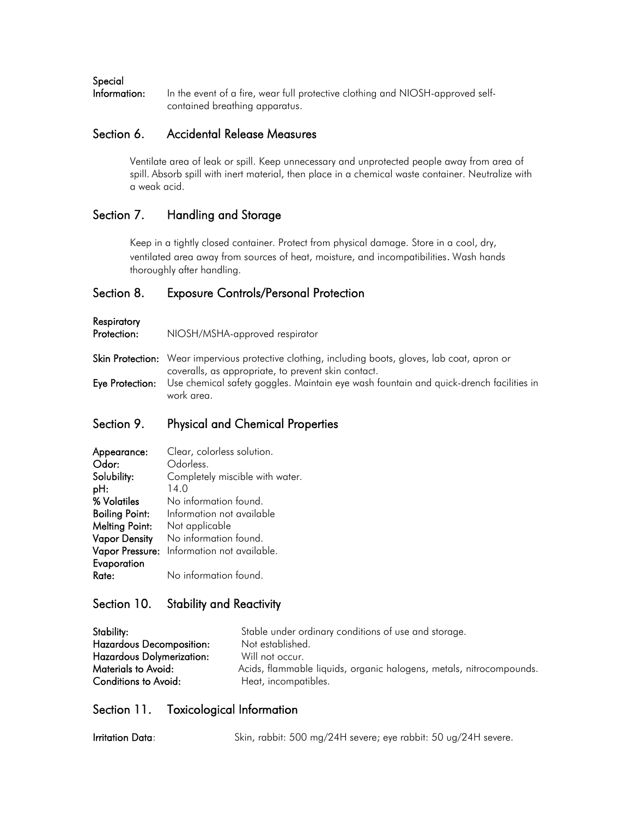### Special

Information: In the event of a fire, wear full protective clothing and NIOSH-approved selfcontained breathing apparatus.

### Section 6. Accidental Release Measures

Ventilate area of leak or spill. Keep unnecessary and unprotected people away from area of spill. Absorb spill with inert material, then place in a chemical waste container. Neutralize with a weak acid.

### Section 7. Handling and Storage

Keep in a tightly closed container. Protect from physical damage. Store in a cool, dry, ventilated area away from sources of heat, moisture, and incompatibilities. Wash hands thoroughly after handling.

### Section 8. Exposure Controls/Personal Protection

**Respiratory** 

Protection: NIOSH/MSHA-approved respirator

Skin Protection: Wear impervious protective clothing, including boots, gloves, lab coat, apron or coveralls, as appropriate, to prevent skin contact. Eye Protection: Use chemical safety goggles. Maintain eye wash fountain and quick-drench facilities in work area.

### Section 9. Physical and Chemical Properties

| Appearance:           | Clear, colorless solution.                 |
|-----------------------|--------------------------------------------|
| Odor:                 | Odorless.                                  |
| Solubility:           | Completely miscible with water.            |
| pH:                   | 14.0                                       |
| % Volatiles           | No information found.                      |
| <b>Boiling Point:</b> | Information not available                  |
| <b>Melting Point:</b> | Not applicable                             |
| <b>Vapor Density</b>  | No information found.                      |
|                       | Vapor Pressure: Information not available. |
| Evaporation           |                                            |
| Rate:                 | No information found.                      |

### Section 10. Stability and Reactivity

| Stability:                       | Stable under ordinary conditions of use and storage.                |
|----------------------------------|---------------------------------------------------------------------|
| <b>Hazardous Decomposition:</b>  | Not established.                                                    |
| <b>Hazardous Dolymerization:</b> | Will not occur.                                                     |
| Materials to Avoid:              | Acids, flammable liquids, organic halogens, metals, nitrocompounds. |
| Conditions to Avoid:             | Heat, incompatibles.                                                |

### Section 11. Toxicological Information

Irritation Data: Skin, rabbit: 500 mg/24H severe; eye rabbit: 50 ug/24H severe.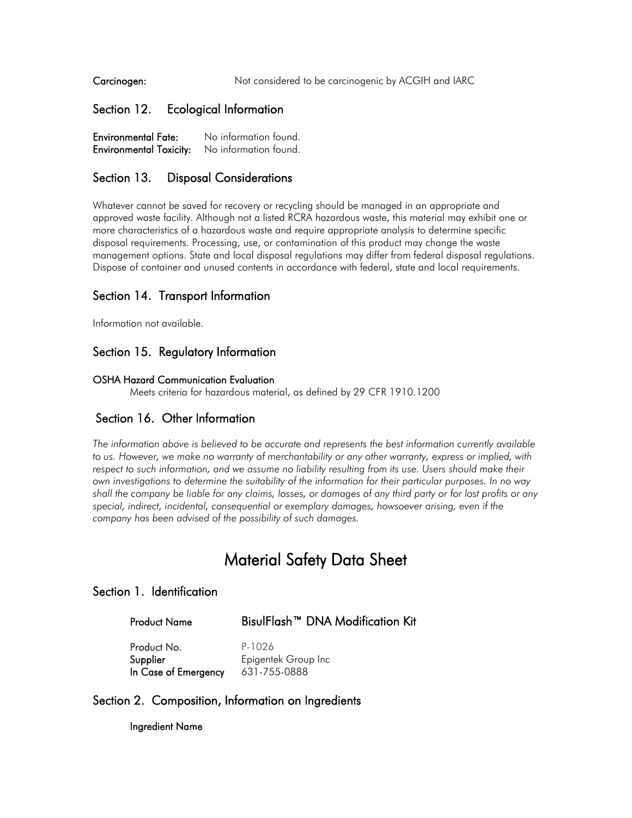Carcinogen: Not considered to be carcinogenic by ACGIH and IARC

### Section 12. Ecological Information

Environmental Fate: No information found. Environmental Toxicity: No information found.

### Section 13. Disposal Considerations

Whatever cannot be saved for recovery or recycling should be managed in an appropriate and approved waste facility. Although not a listed RCRA hazardous waste, this material may exhibit one or more characteristics of a hazardous waste and require appropriate analysis to determine specific disposal requirements. Processing, use, or contamination of this product may change the waste management options. State and local disposal regulations may differ from federal disposal regulations. Dispose of container and unused contents in accordance with federal, state and local requirements.

### Section 14. Transport Information

Information not available.

### Section 15. Regulatory Information

#### OSHA Hazard Communication Evaluation

Meets criteria for hazardous material, as defined by 29 CFR 1910.1200

### Section 16. Other Information

*The information above is believed to be accurate and represents the best information currently available to us. However, we make no warranty of merchantability or any other warranty, express or implied, with*  respect to such information, and we assume no liability resulting from its use. Users should make their *own investigations to determine the suitability of the information for their particular purposes. In no way shall the company be liable for any claims, losses, or damages of any third party or for lost profits or any special, indirect, incidental, consequential or exemplary damages, howsoever arising, even if the company has been advised of the possibility of such damages.*

# Material Safety Data Sheet

### Section 1. Identification

 Product Name BisulFlash™ DNA Modification Kit Product No. P-1026

Supplier Epigentek Group Inc In Case of Emergency 631-755-0888

### Section 2. Composition, Information on Ingredients

Ingredient Name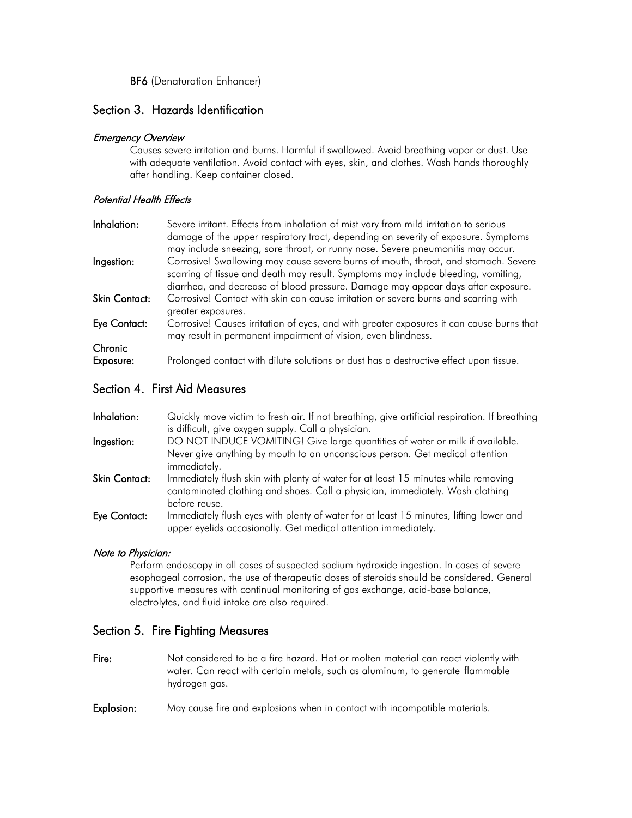BF6 (Denaturation Enhancer)

### Section 3. Hazards Identification

#### Emergency Overview

Causes severe irritation and burns. Harmful if swallowed. Avoid breathing vapor or dust. Use with adequate ventilation. Avoid contact with eyes, skin, and clothes. Wash hands thoroughly after handling. Keep container closed.

#### Potential Health Effects

| Inhalation:          | Severe irritant. Effects from inhalation of mist vary from mild irritation to serious<br>damage of the upper respiratory tract, depending on severity of exposure. Symptoms<br>may include sneezing, sore throat, or runny nose. Severe pneumonitis may occur. |
|----------------------|----------------------------------------------------------------------------------------------------------------------------------------------------------------------------------------------------------------------------------------------------------------|
| Ingestion:           | Corrosive! Swallowing may cause severe burns of mouth, throat, and stomach. Severe<br>scarring of tissue and death may result. Symptoms may include bleeding, vomiting,<br>diarrhea, and decrease of blood pressure. Damage may appear days after exposure.    |
| Skin Contact:        | Corrosive! Contact with skin can cause irritation or severe burns and scarring with<br>greater exposures.                                                                                                                                                      |
| Eye Contact:         | Corrosive! Causes irritation of eyes, and with greater exposures it can cause burns that<br>may result in permanent impairment of vision, even blindness.                                                                                                      |
| Chronic<br>Exposure: | Prolonged contact with dilute solutions or dust has a destructive effect upon tissue.                                                                                                                                                                          |
|                      |                                                                                                                                                                                                                                                                |

### Section 4. First Aid Measures

| Inhalation:   | Quickly move victim to fresh air. If not breathing, give artificial respiration. If breathing<br>is difficult, give oxygen supply. Call a physician.                                 |
|---------------|--------------------------------------------------------------------------------------------------------------------------------------------------------------------------------------|
| Ingestion:    | DO NOT INDUCE VOMITING! Give large quantities of water or milk if available.<br>Never give anything by mouth to an unconscious person. Get medical attention<br>immediately.         |
| Skin Contact: | Immediately flush skin with plenty of water for at least 15 minutes while removing<br>contaminated clothing and shoes. Call a physician, immediately. Wash clothing<br>before reuse. |
| Eye Contact:  | Immediately flush eyes with plenty of water for at least 15 minutes, lifting lower and<br>upper eyelids occasionally. Get medical attention immediately.                             |

### Note to Physician:

Perform endoscopy in all cases of suspected sodium hydroxide ingestion. In cases of severe esophageal corrosion, the use of therapeutic doses of steroids should be considered. General supportive measures with continual monitoring of gas exchange, acid-base balance, electrolytes, and fluid intake are also required.

### Section 5. Fire Fighting Measures

- Fire: Not considered to be a fire hazard. Hot or molten material can react violently with water. Can react with certain metals, such as aluminum, to generate flammable hydrogen gas.
- Explosion: May cause fire and explosions when in contact with incompatible materials.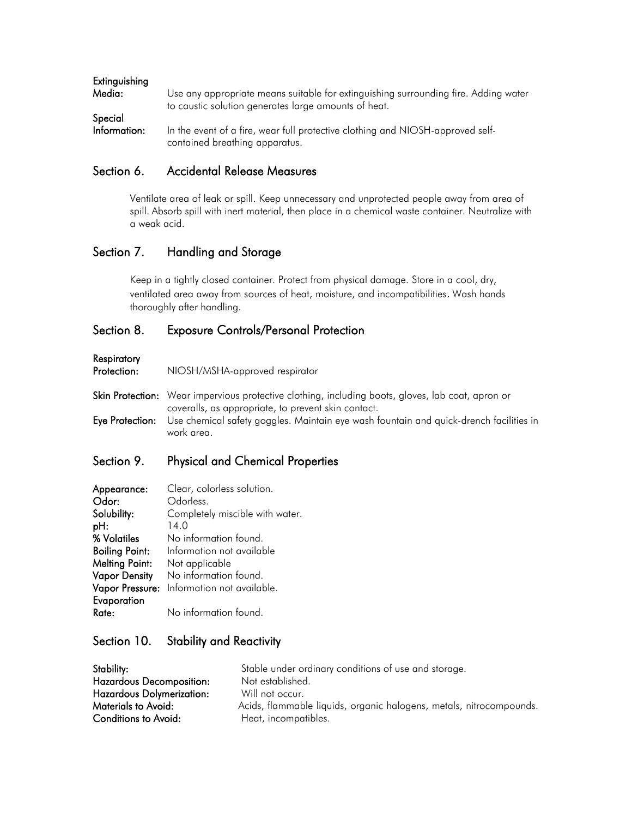| Extinguishing<br>Media: | Use any appropriate means suitable for extinguishing surrounding fire. Adding water                              |
|-------------------------|------------------------------------------------------------------------------------------------------------------|
| Special                 | to caustic solution generates large amounts of heat.                                                             |
| Information:            | In the event of a fire, wear full protective clothing and NIOSH-approved self-<br>contained breathing apparatus. |

### Section 6. Accidental Release Measures

Ventilate area of leak or spill. Keep unnecessary and unprotected people away from area of spill. Absorb spill with inert material, then place in a chemical waste container. Neutralize with a weak acid.

### Section 7. Handling and Storage

Keep in a tightly closed container. Protect from physical damage. Store in a cool, dry, ventilated area away from sources of heat, moisture, and incompatibilities. Wash hands thoroughly after handling.

### Section 8. Exposure Controls/Personal Protection

### Respiratory

| <b>Respiratory</b><br>Protection: | NIOSH/MSHA-approved respirator                                                                                                                           |
|-----------------------------------|----------------------------------------------------------------------------------------------------------------------------------------------------------|
|                                   | Skin Protection: Wear impervious protective clothing, including boots, gloves, lab coat, apron or<br>coveralls, as appropriate, to prevent skin contact. |
| Eye Protection:                   | Use chemical safety goggles. Maintain eye wash fountain and quick-drench facilities in<br>work area.                                                     |

### Section 9. Physical and Chemical Properties

| Appearance:           | Clear, colorless solution.                 |
|-----------------------|--------------------------------------------|
| Odor:                 | Odorless.                                  |
| Solubility:           | Completely miscible with water.            |
| pH:                   | 14.0                                       |
| % Volatiles           | No information found.                      |
| <b>Boiling Point:</b> | Information not available                  |
| <b>Melting Point:</b> | Not applicable                             |
| <b>Vapor Density</b>  | No information found.                      |
|                       | Vapor Pressure: Information not available. |
| Evaporation           |                                            |
| Rate:                 | No information found.                      |

### Section 10. Stability and Reactivity

| Stability:                       | Stable under ordinary conditions of use and storage.                |
|----------------------------------|---------------------------------------------------------------------|
| <b>Hazardous Decomposition:</b>  | Not established.                                                    |
| <b>Hazardous Dolymerization:</b> | Will not occur.                                                     |
| Materials to Avoid:              | Acids, flammable liquids, organic halogens, metals, nitrocompounds. |
| Conditions to Avoid:             | Heat, incompatibles.                                                |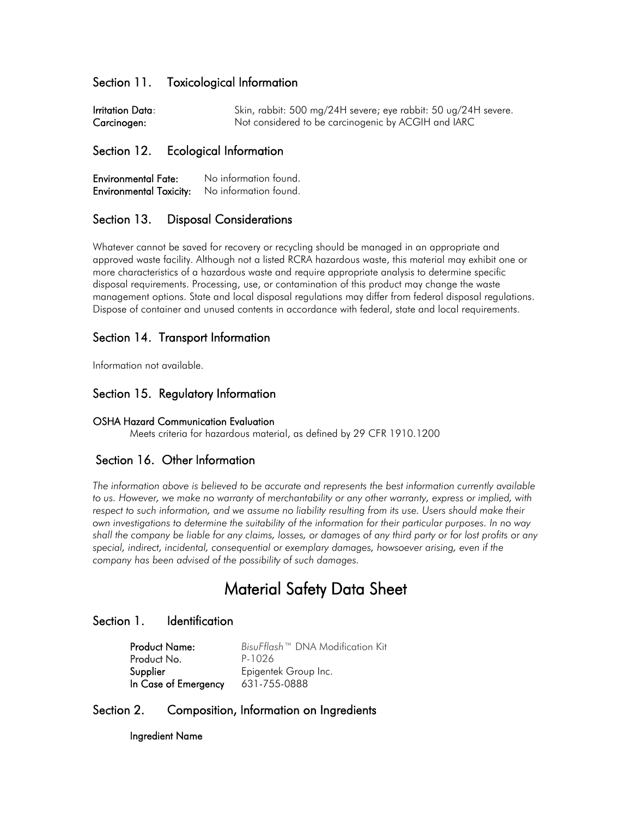### Section 11. Toxicological Information

| Irritation Data: | Skin, rabbit: 500 mg/24H severe; eye rabbit: 50 ug/24H severe. |
|------------------|----------------------------------------------------------------|
| Carcinogen:      | Not considered to be carcinogenic by ACGIH and IARC            |

### Section 12. Ecological Information

| <b>Environmental Fate:</b>     | No information found. |
|--------------------------------|-----------------------|
| <b>Environmental Toxicity:</b> | No information found. |

### Section 13. Disposal Considerations

Whatever cannot be saved for recovery or recycling should be managed in an appropriate and approved waste facility. Although not a listed RCRA hazardous waste, this material may exhibit one or more characteristics of a hazardous waste and require appropriate analysis to determine specific disposal requirements. Processing, use, or contamination of this product may change the waste management options. State and local disposal regulations may differ from federal disposal regulations. Dispose of container and unused contents in accordance with federal, state and local requirements.

### Section 14. Transport Information

Information not available.

### Section 15. Regulatory Information

#### OSHA Hazard Communication Evaluation

Meets criteria for hazardous material, as defined by 29 CFR 1910.1200

### Section 16. Other Information

*The information above is believed to be accurate and represents the best information currently available to us. However, we make no warranty of merchantability or any other warranty, express or implied, with*  respect to such information, and we assume no liability resulting from its use. Users should make their *own investigations to determine the suitability of the information for their particular purposes. In no way shall the company be liable for any claims, losses, or damages of any third party or for lost profits or any special, indirect, incidental, consequential or exemplary damages, howsoever arising, even if the company has been advised of the possibility of such damages.*

# Material Safety Data Sheet

### Section 1. Identification

| <b>Product Name:</b> | BisuFflash™ DNA Modification Kit |
|----------------------|----------------------------------|
| Product No.          | P-1026                           |
| Supplier             | Epigentek Group Inc.             |
| In Case of Emergency | 631-755-0888                     |

### Section 2. Composition, Information on Ingredients

Ingredient Name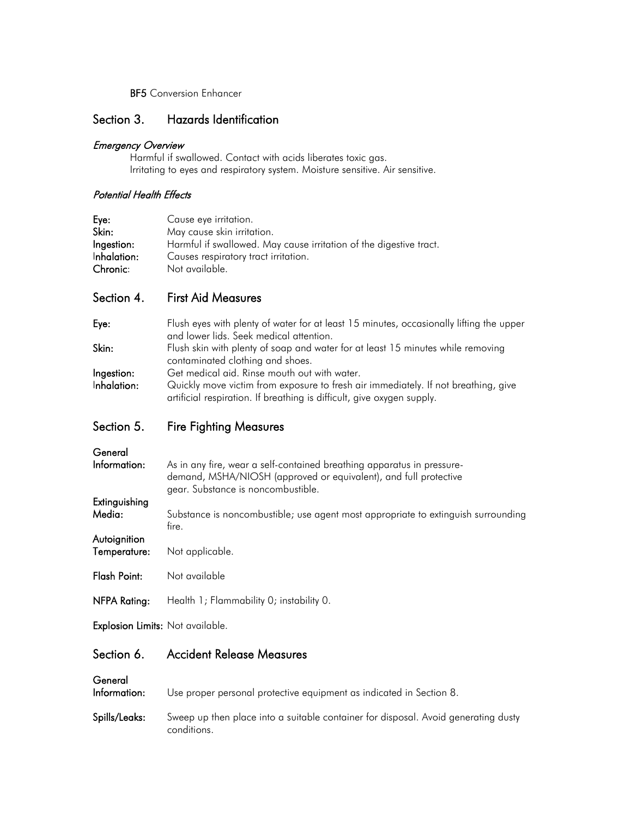**BF5** Conversion Enhancer

### Section 3. Hazards Identification

#### Emergency Overview

Harmful if swallowed. Contact with acids liberates toxic gas. Irritating to eyes and respiratory system. Moisture sensitive. Air sensitive.

### Potential Health Effects

| Eye:        | Cause eye irritation.                                              |
|-------------|--------------------------------------------------------------------|
| Skin:       | May cause skin irritation.                                         |
| Ingestion:  | Harmful if swallowed. May cause irritation of the digestive tract. |
| Inhalation: | Causes respiratory tract irritation.                               |
| Chronic:    | Not available.                                                     |

### Section 4. First Aid Measures

| Eye:        | Flush eyes with plenty of water for at least 15 minutes, occasionally lifting the upper |
|-------------|-----------------------------------------------------------------------------------------|
|             | and lower lids. Seek medical attention.                                                 |
| Skin:       | Flush skin with plenty of soap and water for at least 15 minutes while removing         |
|             | contaminated clothing and shoes.                                                        |
| Ingestion:  | Get medical aid. Rinse mouth out with water.                                            |
| Inhalation: | Quickly move victim from exposure to fresh air immediately. If not breathing, give      |
|             | artificial respiration. If breathing is difficult, give oxygen supply.                  |

### Section 5. Fire Fighting Measures

| General<br>Information:      | As in any fire, wear a self-contained breathing apparatus in pressure-<br>demand, MSHA/NIOSH (approved or equivalent), and full protective<br>gear. Substance is noncombustible. |
|------------------------------|----------------------------------------------------------------------------------------------------------------------------------------------------------------------------------|
| Extinguishing<br>Media:      | Substance is noncombustible; use agent most appropriate to extinguish surrounding<br>fire.                                                                                       |
| Autoignition<br>Temperature: | Not applicable.                                                                                                                                                                  |
| Flash Point:                 | Not available                                                                                                                                                                    |
| NFPA Rating:                 | Health 1; Flammability 0; instability 0.                                                                                                                                         |
|                              |                                                                                                                                                                                  |

Explosion Limits: Not available.

### Section 6. Accident Release Measures

General<br>Information:

Use proper personal protective equipment as indicated in Section 8.

Spills/Leaks: Sweep up then place into a suitable container for disposal. Avoid generating dusty conditions.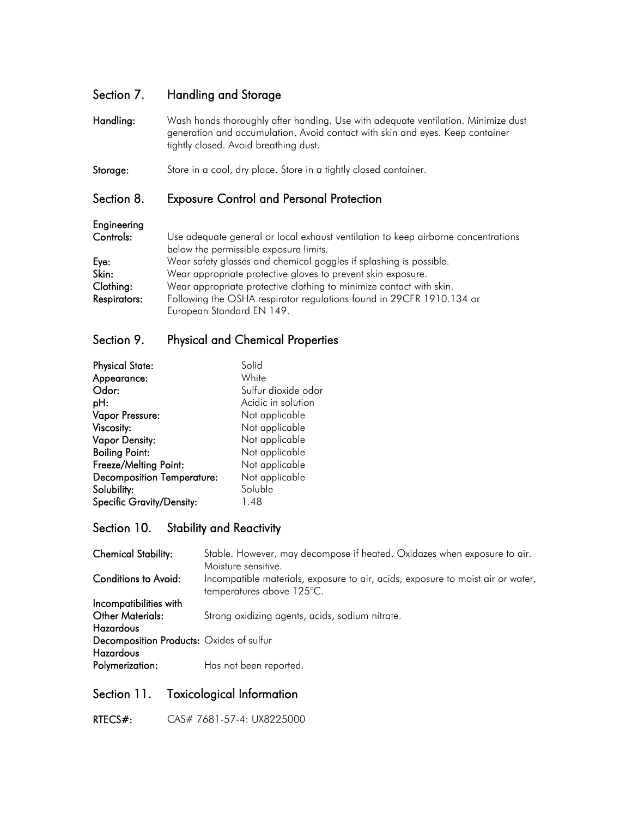### Section 7. Handling and Storage

Handling: Wash hands thoroughly after handing. Use with adequate ventilation. Minimize dust generation and accumulation. Avoid contact with skin and eyes. Keep container tightly closed. Avoid breathing dust.

Storage: Store in a cool, dry place. Store in a tightly closed container.

### Section 8. Exposure Control and Personal Protection

### Engineering

Controls: Use adequate general or local exhaust ventilation to keep airborne concentrations below the permissible exposure limits. Eye: Wear safety glasses and chemical goggles if splashing is possible. Skin: Wear appropriate protective gloves to prevent skin exposure. Clothing: Wear appropriate protective clothing to minimize contact with skin. Respirators: Following the OSHA respirator regulations found in 29CFR 1910.134 or European Standard EN 149.

### Section 9. Physical and Chemical Properties

| <b>Physical State:</b>            | Solid               |
|-----------------------------------|---------------------|
| Appearance:                       | White               |
| Odor:                             | Sulfur dioxide odor |
| pH:                               | Acidic in solution  |
| Vapor Pressure:                   | Not applicable      |
| Viscosity:                        | Not applicable      |
| <b>Vapor Density:</b>             | Not applicable      |
| <b>Boiling Point:</b>             | Not applicable      |
| Freeze/Melting Point:             | Not applicable      |
| <b>Decomposition Temperature:</b> | Not applicable      |
| Solubility:                       | Soluble             |
| <b>Specific Gravity/Density:</b>  | 1.48                |

### Section 10. Stability and Reactivity

| <b>Chemical Stability:</b>               | Stable. However, may decompose if heated. Oxidazes when exposure to air.<br>Moisture sensitive.              |
|------------------------------------------|--------------------------------------------------------------------------------------------------------------|
| Conditions to Avoid:                     | Incompatible materials, exposure to air, acids, exposure to moist air or water,<br>temperatures above 125°C. |
| Incompatibilities with                   |                                                                                                              |
| <b>Other Materials:</b>                  | Strong oxidizing agents, acids, sodium nitrate.                                                              |
| <b>Hazardous</b>                         |                                                                                                              |
| Decomposition Products: Oxides of sulfur |                                                                                                              |
| Hazardous                                |                                                                                                              |
| Polymerization:                          | Has not been reported.                                                                                       |

### Section 11. Toxicological Information

RTECS#: CAS# 7681-57-4: UX8225000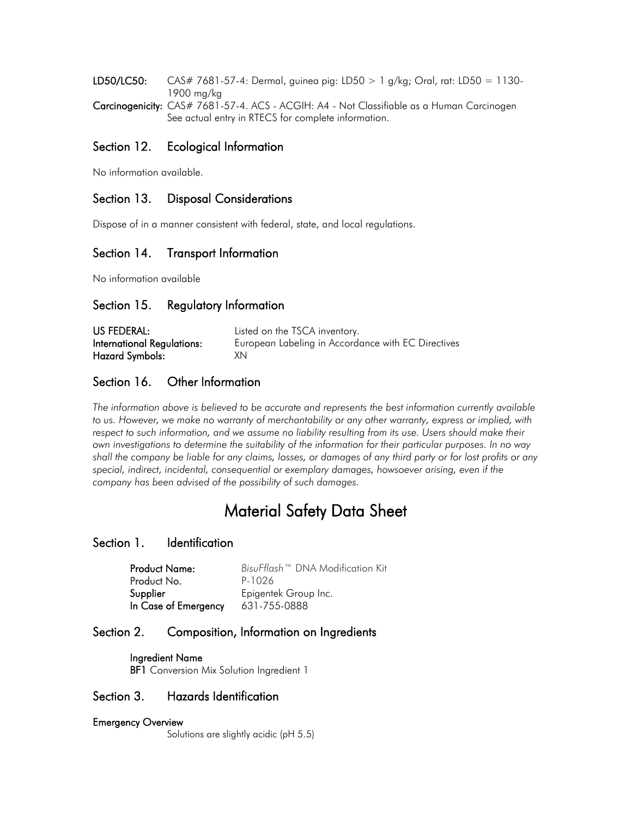**LD50/LC50:** CAS# 7681-57-4: Dermal, guinea pig: LD50  $> 1$  g/kg; Oral, rat: LD50 = 1130-1900 mg/kg

Carcinogenicity: CAS# 7681-57-4. ACS - ACGIH: A4 - Not Classifiable as a Human Carcinogen See actual entry in RTECS for complete information.

### Section 12. Ecological Information

No information available.

### Section 13. Disposal Considerations

Dispose of in a manner consistent with federal, state, and local regulations.

### Section 14. Transport Information

No information available

### Section 15. Regulatory Information

| US FEDERAL:                | Listed on the TSCA inventory.                      |
|----------------------------|----------------------------------------------------|
| International Regulations: | European Labeling in Accordance with EC Directives |
| Hazard Symbols:            | XN.                                                |

### Section 16. Other Information

*The information above is believed to be accurate and represents the best information currently available to us. However, we make no warranty of merchantability or any other warranty, express or implied, with*  respect to such information, and we assume no liability resulting from its use. Users should make their *own investigations to determine the suitability of the information for their particular purposes. In no way shall the company be liable for any claims, losses, or damages of any third party or for lost profits or any special, indirect, incidental, consequential or exemplary damages, howsoever arising, even if the company has been advised of the possibility of such damages.*

# Material Safety Data Sheet

### Section 1. Identification

| <b>Product Name:</b> | BisuFflash™ DNA Modification Kit |
|----------------------|----------------------------------|
| Product No.          | P-1026                           |
| Supplier             | Epigentek Group Inc.             |
| In Case of Emergency | 631-755-0888                     |

### Section 2. Composition, Information on Ingredients

 Ingredient Name **BF1** Conversion Mix Solution Ingredient 1

### Section 3. Hazards Identification

#### Emergency Overview

Solutions are slightly acidic (pH 5.5)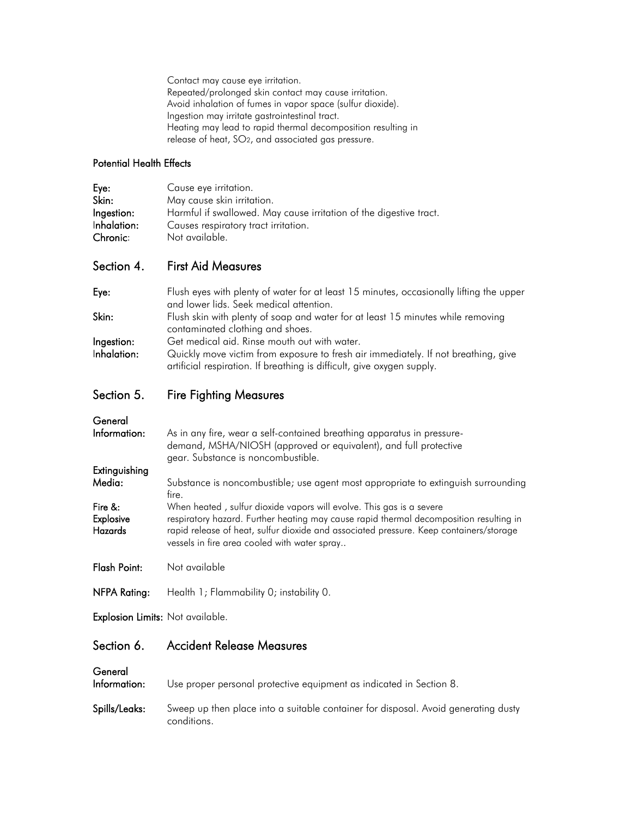Contact may cause eye irritation. Repeated/prolonged skin contact may cause irritation. Avoid inhalation of fumes in vapor space (sulfur dioxide). Ingestion may irritate gastrointestinal tract. Heating may lead to rapid thermal decomposition resulting in release of heat, SO2, and associated gas pressure.

#### Potential Health Effects

| Eye:        | Cause eye irritation.                                              |
|-------------|--------------------------------------------------------------------|
| Skin:       | May cause skin irritation.                                         |
| Ingestion:  | Harmful if swallowed. May cause irritation of the digestive tract. |
| Inhalation: | Causes respiratory tract irritation.                               |
| Chronic:    | Not available.                                                     |

### Section 4. First Aid Measures

| Eye:        | Flush eyes with plenty of water for at least 15 minutes, occasionally lifting the upper |
|-------------|-----------------------------------------------------------------------------------------|
|             | and lower lids. Seek medical attention.                                                 |
| Skin:       | Flush skin with plenty of soap and water for at least 15 minutes while removing         |
|             | contaminated clothing and shoes.                                                        |
| Ingestion:  | Get medical aid. Rinse mouth out with water.                                            |
| Inhalation: | Quickly move victim from exposure to fresh air immediately. If not breathing, give      |
|             | artificial respiration. If breathing is difficult, give oxygen supply.                  |

## Section 5. Fire Fighting Measures

| eneral |  |
|--------|--|

| Information:                                     | As in any fire, wear a self-contained breathing apparatus in pressure-<br>demand, MSHA/NIOSH (approved or equivalent), and full protective<br>gear. Substance is noncombustible.                                                                                                                         |
|--------------------------------------------------|----------------------------------------------------------------------------------------------------------------------------------------------------------------------------------------------------------------------------------------------------------------------------------------------------------|
| Extinguishing                                    |                                                                                                                                                                                                                                                                                                          |
| Media:                                           | Substance is noncombustible; use agent most appropriate to extinguish surrounding<br>fire.                                                                                                                                                                                                               |
| Fire $&$ :<br><b>Explosive</b><br><b>Hazards</b> | When heated, sulfur dioxide vapors will evolve. This gas is a severe<br>respiratory hazard. Further heating may cause rapid thermal decomposition resulting in<br>rapid release of heat, sulfur dioxide and associated pressure. Keep containers/storage<br>vessels in fire area cooled with water spray |
| <b>Flash Point:</b>                              | Not available                                                                                                                                                                                                                                                                                            |

NFPA Rating: Health 1; Flammability 0; instability 0.

Explosion Limits: Not available.

## Section 6. Accident Release Measures

| General<br>Information: | Use proper personal protective equipment as indicated in Section 8.                               |
|-------------------------|---------------------------------------------------------------------------------------------------|
| Spills/Leaks:           | Sweep up then place into a suitable container for disposal. Avoid generating dusty<br>conditions. |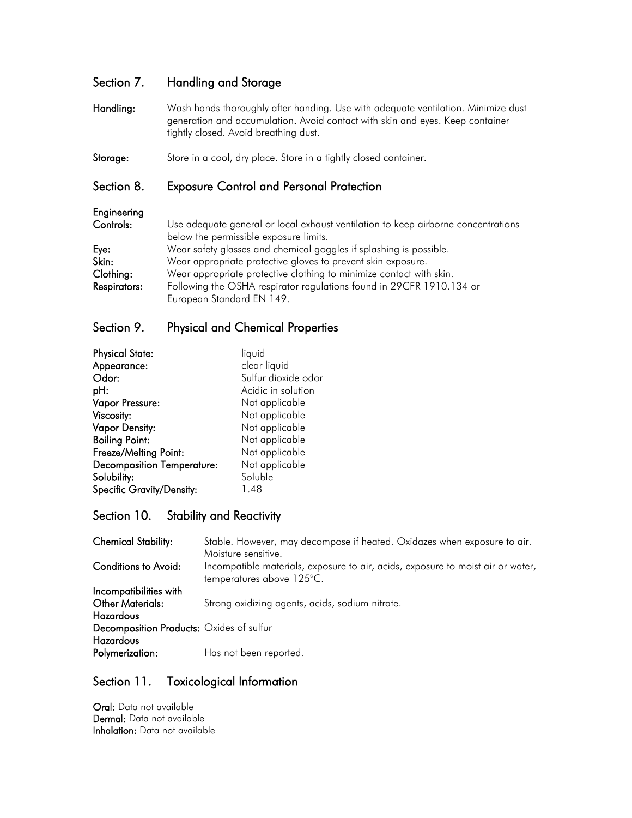### Section 7. Handling and Storage

- Handling: Wash hands thoroughly after handing. Use with adequate ventilation. Minimize dust generation and accumulation. Avoid contact with skin and eyes. Keep container tightly closed. Avoid breathing dust.
- Storage: Store in a cool, dry place. Store in a tightly closed container.

### Section 8. Exposure Control and Personal Protection

| Engineering         |                                                                                   |
|---------------------|-----------------------------------------------------------------------------------|
| Controls:           | Use adequate general or local exhaust ventilation to keep airborne concentrations |
|                     | below the permissible exposure limits.                                            |
| Eye:                | Wear safety glasses and chemical goggles if splashing is possible.                |
| Skin:               | Wear appropriate protective gloves to prevent skin exposure.                      |
| Clothing:           | Wear appropriate protective clothing to minimize contact with skin.               |
| <b>Respirators:</b> | Following the OSHA respirator regulations found in 29CFR 1910.134 or              |
|                     | European Standard EN 149.                                                         |

### Section 9. Physical and Chemical Properties

| <b>Physical State:</b>            | liquid              |
|-----------------------------------|---------------------|
| Appearance:                       | clear liquid        |
| Odor:                             | Sulfur dioxide odor |
| pH:                               | Acidic in solution  |
| Vapor Pressure:                   | Not applicable      |
| Viscosity:                        | Not applicable      |
| <b>Vapor Density:</b>             | Not applicable      |
| <b>Boiling Point:</b>             | Not applicable      |
| Freeze/Melting Point:             | Not applicable      |
| <b>Decomposition Temperature:</b> | Not applicable      |
| Solubility:                       | Soluble             |
| <b>Specific Gravity/Density:</b>  | 1.48                |

### Section 10. Stability and Reactivity

| <b>Chemical Stability:</b>               | Stable. However, may decompose if heated. Oxidazes when exposure to air.                                     |
|------------------------------------------|--------------------------------------------------------------------------------------------------------------|
|                                          | Moisture sensitive.                                                                                          |
| <b>Conditions to Avoid:</b>              | Incompatible materials, exposure to air, acids, exposure to moist air or water,<br>temperatures above 125°C. |
| Incompatibilities with                   |                                                                                                              |
| <b>Other Materials:</b>                  | Strong oxidizing agents, acids, sodium nitrate.                                                              |
| <b>Hazardous</b>                         |                                                                                                              |
| Decomposition Products: Oxides of sulfur |                                                                                                              |
| Hazardous                                |                                                                                                              |
| Polymerization:                          | Has not been reported.                                                                                       |

### Section 11. Toxicological Information

Oral: Data not available Dermal: Data not available Inhalation: Data not available